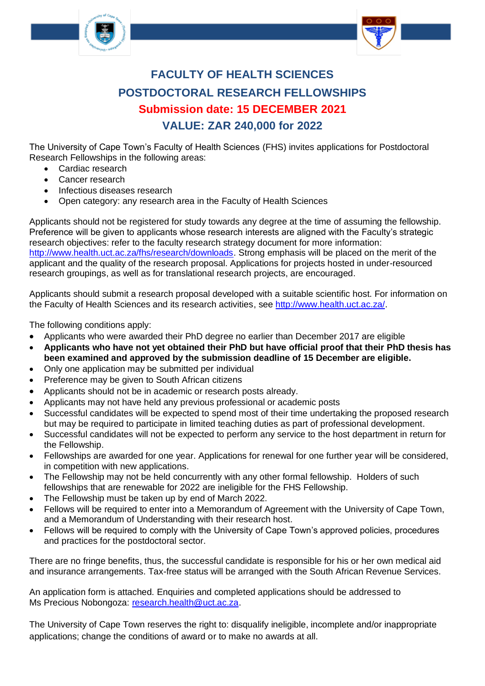



# **FACULTY OF HEALTH SCIENCES POSTDOCTORAL RESEARCH FELLOWSHIPS Submission date: 15 DECEMBER 2021 VALUE: ZAR 240,000 for 2022**

The University of Cape Town's Faculty of Health Sciences (FHS) invites applications for Postdoctoral Research Fellowships in the following areas:

- Cardiac research
- Cancer research
- Infectious diseases research
- Open category: any research area in the Faculty of Health Sciences

Applicants should not be registered for study towards any degree at the time of assuming the fellowship. Preference will be given to applicants whose research interests are aligned with the Faculty's strategic research objectives: refer to the faculty research strategy document for more information: [http://www.health.uct.ac.za/fhs/research/downloads.](http://www.health.uct.ac.za/fhs/research/downloads) Strong emphasis will be placed on the merit of the applicant and the quality of the research proposal. Applications for projects hosted in under-resourced research groupings, as well as for translational research projects, are encouraged.

Applicants should submit a research proposal developed with a suitable scientific host. For information on the Faculty of Health Sciences and its research activities, see [http://www.health.uct.ac.za/.](http://www.health.uct.ac.za/)

The following conditions apply:

- Applicants who were awarded their PhD degree no earlier than December 2017 are eligible
- **Applicants who have not yet obtained their PhD but have official proof that their PhD thesis has been examined and approved by the submission deadline of 15 December are eligible.**
- Only one application may be submitted per individual
- Preference may be given to South African citizens
- Applicants should not be in academic or research posts already.
- Applicants may not have held any previous professional or academic posts
- Successful candidates will be expected to spend most of their time undertaking the proposed research but may be required to participate in limited teaching duties as part of professional development.
- Successful candidates will not be expected to perform any service to the host department in return for the Fellowship.
- Fellowships are awarded for one year. Applications for renewal for one further year will be considered, in competition with new applications.
- The Fellowship may not be held concurrently with any other formal fellowship. Holders of such fellowships that are renewable for 2022 are ineligible for the FHS Fellowship.
- The Fellowship must be taken up by end of March 2022.
- Fellows will be required to enter into a Memorandum of Agreement with the University of Cape Town, and a Memorandum of Understanding with their research host.
- Fellows will be required to comply with the University of Cape Town's approved policies, procedures and practices for the postdoctoral sector.

There are no fringe benefits, thus, the successful candidate is responsible for his or her own medical aid and insurance arrangements. Tax-free status will be arranged with the South African Revenue Services.

An application form is attached. Enquiries and completed applications should be addressed to Ms Precious Nobongoza: [research.health@uct.ac.za.](file:///C:/Users/user/Downloads/research.health@uct.ac.za)

The University of Cape Town reserves the right to: disqualify ineligible, incomplete and/or inappropriate applications; change the conditions of award or to make no awards at all.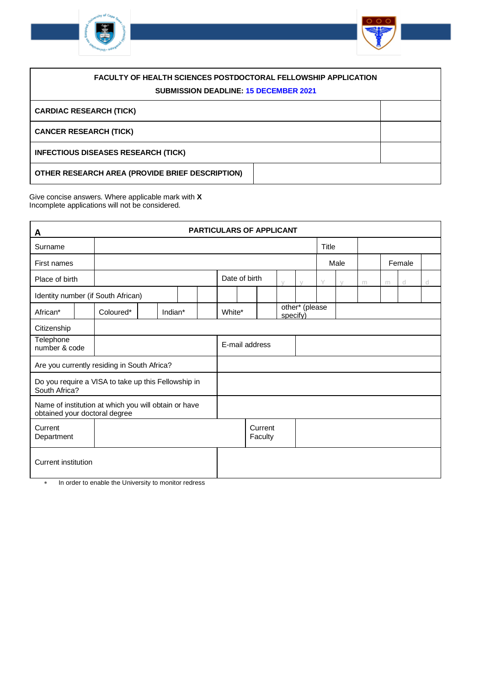



| <b>FACULTY OF HEALTH SCIENCES POSTDOCTORAL FELLOWSHIP APPLICATION</b><br><b>SUBMISSION DEADLINE: 15 DECEMBER 2021</b> |  |  |  |  |
|-----------------------------------------------------------------------------------------------------------------------|--|--|--|--|
| <b>CARDIAC RESEARCH (TICK)</b>                                                                                        |  |  |  |  |
| <b>CANCER RESEARCH (TICK)</b>                                                                                         |  |  |  |  |
| <b>INFECTIOUS DISEASES RESEARCH (TICK)</b>                                                                            |  |  |  |  |
| OTHER RESEARCH AREA (PROVIDE BRIEF DESCRIPTION)                                                                       |  |  |  |  |

Give concise answers. Where applicable mark with **X** Incomplete applications will not be considered.

| A                                                                                     |  |                                                     |  |         |  | <b>PARTICULARS OF APPLICANT</b> |        |                |                    |          |                |      |        |   |   |        |   |
|---------------------------------------------------------------------------------------|--|-----------------------------------------------------|--|---------|--|---------------------------------|--------|----------------|--------------------|----------|----------------|------|--------|---|---|--------|---|
| Surname                                                                               |  |                                                     |  |         |  |                                 |        |                |                    | Title    |                |      |        |   |   |        |   |
| First names                                                                           |  |                                                     |  |         |  |                                 |        |                |                    |          |                | Male |        |   |   | Female |   |
| Place of birth                                                                        |  |                                                     |  |         |  |                                 |        | Date of birth  |                    | $\vee$   | $\setminus$    | Y    | $\vee$ | m | m | d      | d |
|                                                                                       |  | Identity number (if South African)                  |  |         |  |                                 |        |                |                    |          |                |      |        |   |   |        |   |
| African*                                                                              |  | Coloured*                                           |  | Indian* |  |                                 | White* |                |                    | specify) | other* (please |      |        |   |   |        |   |
| Citizenship                                                                           |  |                                                     |  |         |  |                                 |        |                |                    |          |                |      |        |   |   |        |   |
| Telephone<br>number & code                                                            |  |                                                     |  |         |  |                                 |        | E-mail address |                    |          |                |      |        |   |   |        |   |
|                                                                                       |  | Are you currently residing in South Africa?         |  |         |  |                                 |        |                |                    |          |                |      |        |   |   |        |   |
| South Africa?                                                                         |  | Do you require a VISA to take up this Fellowship in |  |         |  |                                 |        |                |                    |          |                |      |        |   |   |        |   |
| Name of institution at which you will obtain or have<br>obtained your doctoral degree |  |                                                     |  |         |  |                                 |        |                |                    |          |                |      |        |   |   |        |   |
| Current<br>Department                                                                 |  |                                                     |  |         |  |                                 |        |                | Current<br>Faculty |          |                |      |        |   |   |        |   |
| <b>Current institution</b>                                                            |  |                                                     |  |         |  |                                 |        |                |                    |          |                |      |        |   |   |        |   |

\* In order to enable the University to monitor redress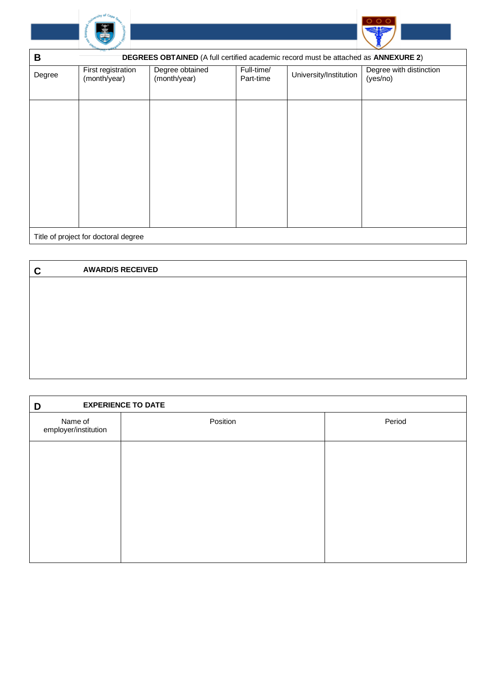



| B      | DEGREES OBTAINED (A full certified academic record must be attached as ANNEXURE 2) |                                 |                         |                        |                                     |  |  |  |  |
|--------|------------------------------------------------------------------------------------|---------------------------------|-------------------------|------------------------|-------------------------------------|--|--|--|--|
| Degree | First registration<br>(month/year)                                                 | Degree obtained<br>(month/year) | Full-time/<br>Part-time | University/Institution | Degree with distinction<br>(yes/no) |  |  |  |  |
|        |                                                                                    |                                 |                         |                        |                                     |  |  |  |  |
|        |                                                                                    |                                 |                         |                        |                                     |  |  |  |  |
|        |                                                                                    |                                 |                         |                        |                                     |  |  |  |  |
|        |                                                                                    |                                 |                         |                        |                                     |  |  |  |  |
|        | Title of project for doctoral degree                                               |                                 |                         |                        |                                     |  |  |  |  |

| ┍<br>u | <b>AWARD/S RECEIVED</b> |
|--------|-------------------------|
|        |                         |
|        |                         |
|        |                         |
|        |                         |
|        |                         |
|        |                         |
|        |                         |

| <b>EXPERIENCE TO DATE</b><br>D  |          |        |
|---------------------------------|----------|--------|
| Name of<br>employer/institution | Position | Period |
|                                 |          |        |
|                                 |          |        |
|                                 |          |        |
|                                 |          |        |
|                                 |          |        |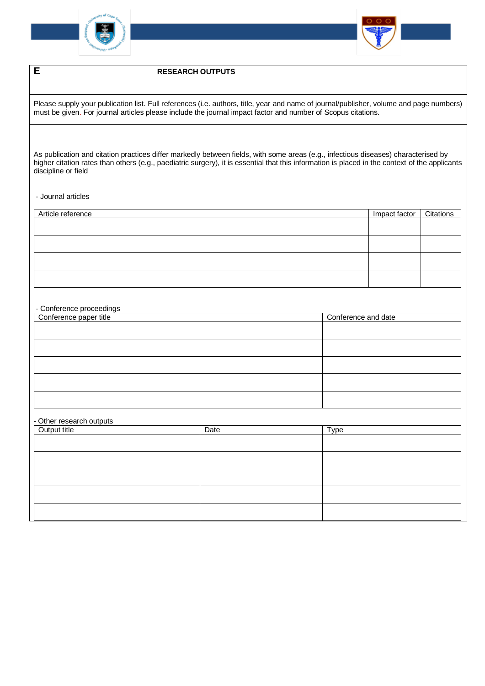



## **E RESEARCH OUTPUTS**

Please supply your publication list. Full references (i.e. authors, title, year and name of journal/publisher, volume and page numbers) must be given. For journal articles please include the journal impact factor and number of Scopus citations.

As publication and citation practices differ markedly between fields, with some areas (e.g., infectious diseases) characterised by higher citation rates than others (e.g., paediatric surgery), it is essential that this information is placed in the context of the applicants discipline or field

#### - Journal articles

| Article reference | Impact factor | Citations |
|-------------------|---------------|-----------|
|                   |               |           |
|                   |               |           |
|                   |               |           |
|                   |               |           |
|                   |               |           |

#### - Conference proceedings

| Conference paper title | Conference and date |
|------------------------|---------------------|
|                        |                     |
|                        |                     |
|                        |                     |
|                        |                     |
|                        |                     |
|                        |                     |
|                        |                     |
|                        |                     |

#### - Other research outputs

| Output title | Date | Type |
|--------------|------|------|
|              |      |      |
|              |      |      |
|              |      |      |
|              |      |      |
|              |      |      |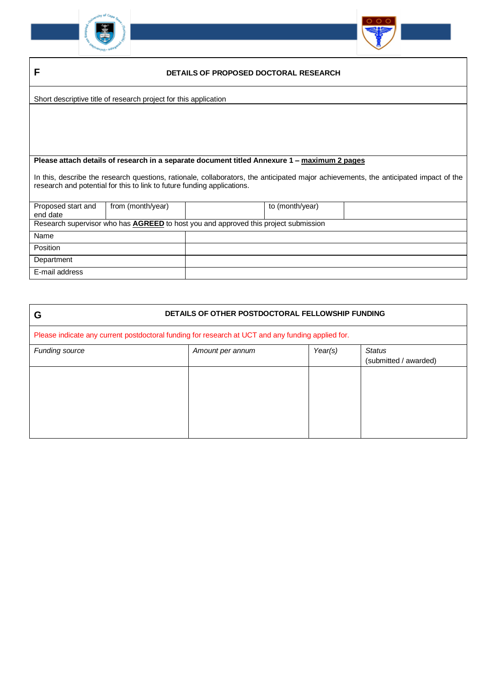



| - | DETAILS OF PROPOSED DOCTORAL RESEARCH |
|---|---------------------------------------|
|   |                                       |

Short descriptive title of research project for this application

### **Please attach details of research in a separate document titled Annexure 1 – maximum 2 pages**

In this, describe the research questions, rationale, collaborators, the anticipated major achievements, the anticipated impact of the research and potential for this to link to future funding applications.

| Proposed start and | from (month/year)                                                                          | to (month/year) |  |
|--------------------|--------------------------------------------------------------------------------------------|-----------------|--|
| end date           |                                                                                            |                 |  |
|                    | Research supervisor who has <b>AGREED</b> to host you and approved this project submission |                 |  |
| Name               |                                                                                            |                 |  |
| Position           |                                                                                            |                 |  |
| Department         |                                                                                            |                 |  |
| E-mail address     |                                                                                            |                 |  |

| G              | DETAILS OF OTHER POSTDOCTORAL FELLOWSHIP FUNDING                                                  |  |  |  |  |  |  |
|----------------|---------------------------------------------------------------------------------------------------|--|--|--|--|--|--|
|                | Please indicate any current postdoctoral funding for research at UCT and any funding applied for. |  |  |  |  |  |  |
| Funding source | <b>Status</b><br>(submitted / awarded)                                                            |  |  |  |  |  |  |
|                |                                                                                                   |  |  |  |  |  |  |
|                |                                                                                                   |  |  |  |  |  |  |
|                |                                                                                                   |  |  |  |  |  |  |
|                |                                                                                                   |  |  |  |  |  |  |